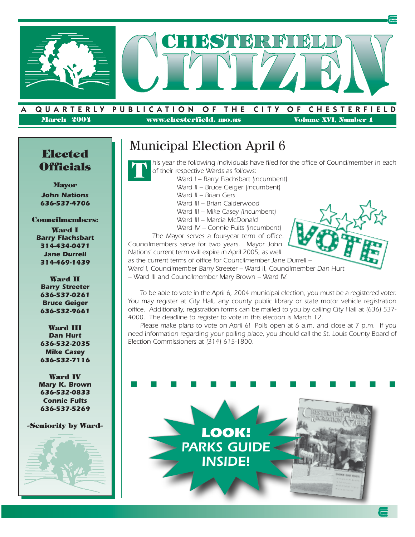

#### QUARTERLY PUBLICATION OF THE CITY OF CHESTERFIELD **March 2004 www.chesterfield. mo.us Volume XVI, Number 1**

# **Officials**

**Mayor** *John Nations 636-537-4706*

#### **Councilmembers:**

**Ward I** *Barry Flachsbart 314-434-0471 Jane Durrell 314-469-1439*

**Ward II** *Barry Streeter 636-537-0261 Bruce Geiger 636-532-9661*

**Ward III** *Dan Hurt 636-532-2035 Mike Casey 636-532-7116*

**Ward IV** *Mary K. Brown 636-532-0833 Connie Fults 636-537-5269*

#### **-Seniority by Ward-**



## **Elected** Municipal Election April 6



*his year the following individuals have filed for the office of Councilmember in each of their respective Wards as follows:*

- *Ward I Barry Flachsbart (incumbent)*
- *Ward II Bruce Geiger (incumbent)*
- *Ward II Brian Gers*
- *Ward III Brian Calderwood*
- *Ward III Mike Casey (incumbent)*
- *Ward III Marcia McDonald*
- *Ward IV Connie Fults (incumbent)*

*The Mayor serves a four-year term of office. Councilmembers serve for two years. Mayor John Nations' current term will expire in April 2005, as well*

*as the current terms of office for Councilmember Jane Durrell –*



*Ward I, Councilmember Barry Streeter – Ward II, Councilmember Dan Hurt – Ward III and Councilmember Mary Brown – Ward IV.* 

*To be able to vote in the April 6, 2004 municipal election, you must be a registered voter. You may register at City Hall, any county public library or state motor vehicle registration office. Additionally, registration forms can be mailed to you by calling City Hall at (636) 537- 4000. The deadline to register to vote in this election is March 12.*

*Please make plans to vote on April 6! Polls open at 6 a.m. and close at 7 p.m. If you need information regarding your polling place, you should call the St. Louis County Board of Election Commissioners at (314) 615-1800.*

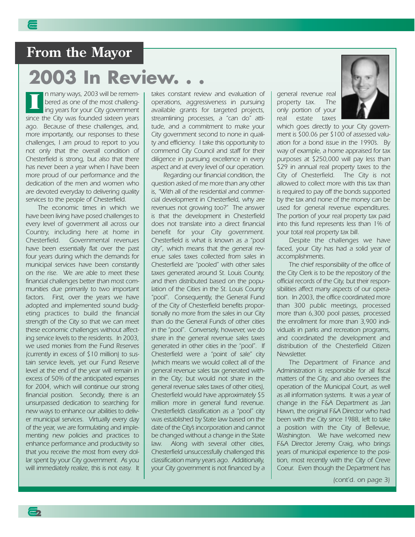### **From the Mayor**

## **2003 In Review.**

*n many ways, 2003 will be remembered as one of the most challenging years for your City government since the City was founded sixteen years ago. Because of these challenges, and, more importantly, our responses to these challenges, I am proud to report to you not only that the overall condition of Chesterfield is strong, but also that there has never been a year when I have been more proud of our performance and the dedication of the men and women who are devoted everyday to delivering quality services to the people of Chesterfield.* **I**

*The economic times in which we have been living have posed challenges to every level of government all across our Country, including here at home in Chesterfield. Governmental revenues have been essentially flat over the past four years during which the demands for municipal services have been constantly on the rise. We are able to meet these financial challenges better than most communities due primarily to two important factors. First, over the years we have adopted and implemented sound budgeting practices to build the financial strength of the City so that we can meet these economic challenges without affecting service levels to the residents. In 2003, we used monies from the Fund Reserves (currently in excess of \$10 million) to sustain service levels, yet our Fund Reserve level at the end of the year will remain in excess of 50% of the anticipated expenses for 2004, which will continue our strong financial position. Secondly, there is an unsurpassed dedication to searching for new ways to enhance our abilities to deliver municipal services. Virtually every day of the year, we are formulating and implementing new policies and practices to enhance performance and productivity so that you receive the most from every dollar spent by your City government. As you will immediately realize, this is not easy. It*

**2**

*takes constant review and evaluation of operations, aggressiveness in pursuing available grants for targeted projects, streamlining processes, a "can do" attitude, and a commitment to make your City government second to none in quality and efficiency. I take this opportunity to commend City Council and staff for their diligence in pursuing excellence in every aspect and at every level of our operation.*

*Regarding our financial condition, the question asked of me more than any other is, "With all of the residential and commercial development in Chesterfield, why are revenues not growing too?" The answer is that the development in Chesterfield does not translate into a direct financial benefit for your City government. Chesterfield is what is known as a "pool city", which means that the general revenue sales taxes collected from sales in Chesterfield are "pooled" with other sales taxes generated around St. Louis County, and then distributed based on the population of the Cities in the St. Louis County "pool". Consequently, the General Fund of the City of Chesterfield benefits proportionally no more from the sales in our City than do the General Funds of other cities in the "pool". Conversely, however, we do share in the general revenue sales taxes generated in other cities in the "pool". If Chesterfield were a "point of sale" city (which means we would collect all of the general revenue sales tax generated within the City; but would not share in the general revenue sales taxes of other cities), Chesterfield would have approximately \$5 million more in general fund revenue. Chesterfield's classification as a "pool" city was established by State law based on the date of the City's incorporation and cannot be changed without a change in the State law. Along with several other cities, Chesterfield unsuccessfully challenged this classification many years ago. Additionally, your City government is not financed by a*

*general revenue real property tax. The only portion of your real estate taxes*



*which goes directly to your City government is \$00.06 per \$100 of assessed valuation for a bond issue in the 1990's. By way of example, a home appraised for tax purposes at \$250,000 will pay less than \$29 in annual real property taxes to the City of Chesterfield. The City is not allowed to collect more with this tax than is required to pay off the bonds supported by the tax and none of the money can be used for general revenue expenditures. The portion of your real property tax paid into this fund represents less than 1% of your total real property tax bill.*

*Despite the challenges we have faced, your City has had a solid year of accomplishments.*

*The chief responsibility of the office of the City Clerk is to be the repository of the official records of the City, but their responsibilities affect many aspects of our operation. In 2003, the office coordinated more than 300 public meetings, processed more than 6,300 pool passes, processed the enrollment for more than 3,900 individuals in parks and recreation programs, and coordinated the development and distribution of the Chesterfield Citizen Newsletter.*

*The Department of Finance and Administration is responsible for all fiscal matters of the City, and also oversees the operation of the Municipal Court, as well as all information systems. It was a year of change in the F&A Department as Jan Hawn, the original F&A Director who had been with the City since 1988, left to take a position with the City of Bellevue, Washington. We have welcomed new F&A Director Jeremy Craig, who brings years of municipal experience to the position, most recently with the City of Creve Coeur. Even though the Department has*

*(cont'd. on page 3)*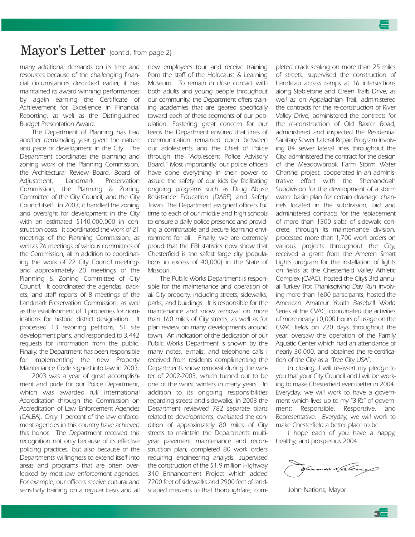### Mayor's Letter *(cont'd. from page 2)*

*many additional demands on its time and resources because of the challenging financial circumstances described earlier, it has maintained its award winning performances by again earning the Certificate of Achievement for Excellence in Financial Reporting, as well as the Distinguished Budget Presentation Award.*

*The Department of Planning has had another demanding year given the nature and pace of development in the City. The Department coordinates the planning and zoning work of the Planning Commission, the Architectural Review Board, Board of Adjustment, Landmark Preservation Commission, the Planning & Zoning Committee of the City Council, and the City Council itself. In 2003, it handled the zoning and oversight for development in the City with an estimated \$140,000,000 in construction costs. It coordinated the work of 21 meetings of the Planning Commission, as well as 26 meetings of various committees of the Commission, all in addition to coordinating the work of 22 City Council meetings and approximately 20 meetings of the Planning & Zoning Committee of City Council. It coordinated the agendas, packets, and staff reports of 8 meetings of the Landmark Preservation Commission, as well as the establishment of 3 properties for nominations for historic district designation. It processed 13 rezoning petitions, 51 site development plans, and responded to 3,442 requests for information from the public. Finally, the Department has been responsible for implementing the new Property Maintenance Code signed into law in 2003.*

*2003 was a year of great accomplishment and pride for our Police Department, which was awarded full International Accreditation through the Commission on Accreditation of Law Enforcement Agencies (CALEA). Only 1 percent of the law enforcement agencies in this country have achieved this honor. The Department received this recognition not only because of its effective policing practices, but also because of the Department's willingness to extend itself into areas and programs that are often overlooked by most law enforcement agencies. For example, our officers receive cultural and sensitivity training on a regular basis and all*

*new employees tour and receive training from the staff of the Holocaust & Learning Museum. To remain in close contact with both adults and young people throughout our community, the Department offers training academies that are geared specifically toward each of these segments of our population. Fostering great concern for our teens the Department ensured that lines of communication remained open between our adolescents and the Chief of Police through the "Adolescent Police Advisory Board." Most importantly, our police officers have done everything in their power to assure the safety of our kids by facilitating ongoing programs such as Drug Abuse Resistance Education (DARE) and Safety Town. The Department assigned officers full time to each of our middle and high schools to ensure a daily police presence and providing a comfortable and secure learning environment for all. Finally, we are extremely proud that the FBI statistics now show that Chesterfield is the safest large city (populations in excess of 40,000) in the State of Missouri.*

*The Public Works Department is responsible for the maintenance and operation of all City property, including streets, sidewalks, parks, and buildings. It is responsible for the maintenance and snow removal on more than 160 miles of City streets, as well as for plan review on many developments around town. An indication of the dedication of our Public Works Department is shown by the many notes, e-mails, and telephone calls I received from residents complimenting the Department's snow removal during the winter of 2002-2003, which turned out to be one of the worst winters in many years. In addition to its ongoing responsibilities regarding streets and sidewalks, in 2003 the Department reviewed 782 separate plans related to developments, evaluated the condition of approximately 80 miles of City streets to maintain the Department's multiyear pavement maintenance and reconstruction plan, completed 80 work orders requiring engineering analysis, supervised the construction of the \$1.9 million Highway 340 Enhancement Project which added 7200 feet of sidewalks and 2900 feet of landscaped medians to that thoroughfare, com-*

*pleted crack sealing on more than 25 miles of streets, supervised the construction of handicap access ramps at 16 intersections along Stabletone and Green Trails Drive, as well as on Appalachian Trail, administered the contracts for the re-construction of River Valley Drive, administered the contracts for the re-construction of Old Baxter Road, administered and inspected the Residential Sanitary Sewer Lateral Repair Program involving 84 sewer lateral lines throughout the City, administered the contract for the design of the Meadowbrook Farm Storm Water Channel project, cooperated in an administrative effort with the Shenandoah Subdivision for the development of a storm water basin plan for certain drainage channels located in the subdivision, bid and administered contracts for the replacement of more than 1500 slabs of sidewalk concrete, through its maintenance division, processed more than 1,700 work orders on various projects throughout the City, received a grant from the Ameren Smart Lights program for the installation of lights on fields at the Chesterfield Valley Athletic Complex (CVAC), hosted the City's 3rd annual Turkey Trot Thanksgiving Day Run involving more than 1600 participants, hosted the American Amateur Youth Baseball World Series at the CVAC, coordinated the activities of more nearly 10,000 hours of usage on the CVAC fields on 220 days throughout the year, oversaw the operation of the Family Aquatic Center which had an attendance of nearly 30,000, and obtained the re-certification of the City as a "Tree City USA".*

*In closing, I will re-assert my pledge to you that your City Council and I will be working to make Chesterfield even better in 2004. Everyday, we will work to have a government which lives up to my "3-R's" of government: Responsible, Responsive, and Representative. Everyday, we will work to make Chesterfield a better place to be.*

*I hope each of you have a happy, healthy, and prosperous 2004.*

flewm Haleacy

*John Nations, Mayor*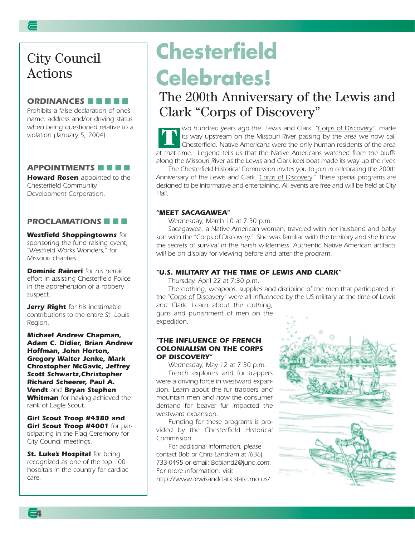### City Council Actions

#### *ORDINANCES* ■ ■ ■ ■ ■

*Prohibits a false declaration of one's name, address and/or driving status when being questioned relative to a violation (January 5, 2004)*

#### *APPOINTMENTS* ■ ■ ■ ■

*Howard Rosen appointed to the Chesterfield Community Development Corporation.*

#### *PROCLAMATIONS* ■ ■ ■

#### *Westfield Shoppingtowns for sponsoring the fund raising event, "Westfield Works Wonders," for Missouri charities.*

*Dominic Raineri for his heroic effort in assisting Chesterfield Police in the apprehension of a robbery suspect.*

*Jerry Right for his inestimable contributions to the entire St. Louis Region.*

*Michael Andrew Chapman, Adam C. Didier, Brian Andrew Hoffman, John Horton, Gregory Walter Jenke, Mark Chrostopher McGavic, Jeffrey Scott Schwartz,Christopher Richard Scheerer, Paul A. Vendt and Bryan Stephen Whitman for having achieved the rank of Eagle Scout.*

*Girl Scout Troop #4380 and Girl Scout Troop #4001 for participating in the Flag Ceremony for City Council meetings.*

**St. Luke's Hospital** for being *recognized as one of the top 100 hospitals in the country for cardiac care.*

**4**

## **Chesterfield Celebrates!**

### The 200th Anniversary of the Lewis and Clark "Corps of Discovery"

*wo hundred years ago the Lewis and Clark "Corps of Discovery" made its way upstream on the Missouri River passing by the area we now call Chesterfield. Native Americans were the only human residents of the area at that time. Legend tells us that the Native Americans watched from the bluffs along the Missouri River as the Lewis and Clark keel boat made its way up the river.* **T**

*The Chesterfield Historical Commission invites you to join in celebrating the 200th Anniversary of the Lewis and Clark "Corps of Discovery." These special programs are designed to be informative and entertaining. All events are free and will be held at City Hall.*

#### *"MEET SACAGAWEA"*

*Wednesday, March 10 at 7:30 p.m.*

*Sacagawea, a Native American woman, traveled with her husband and baby son with the "Corps of Discovery." She was familiar with the territory and she knew the secrets of survival in the harsh wilderness. Authentic Native American artifacts will be on display for viewing before and after the program.*

#### *"U.S. MILITARY AT THE TIME OF LEWIS AND CLARK"*

*Thursday, April 22 at 7:30 p.m.*

*The clothing, weapons, supplies and discipline of the men that participated in the "Corps of Discovery" were all influenced by the US military at the time of Lewis and Clark. Learn about the clothing,*

*guns and punishment of men on the expedition.* 

#### *"THE INFLUENCE OF FRENCH COLONIALISM ON THE CORPS OF DISCOVERY"*

*Wednesday, May 12 at 7:30 p.m. French explorers and fur trappers were a driving force in westward expansion. Learn about the fur trappers and mountain men and how the consumer demand for beaver fur impacted the westward expansion.*

*Funding for these programs is provided by the Chesterfield Historical Commission.* 

*For additional information, please contact Bob or Chris Landram at (636) 733-0495 or email: Bobland2@juno.com. For more information, visit http://www.lewisandclark.state.mo.us/.* 

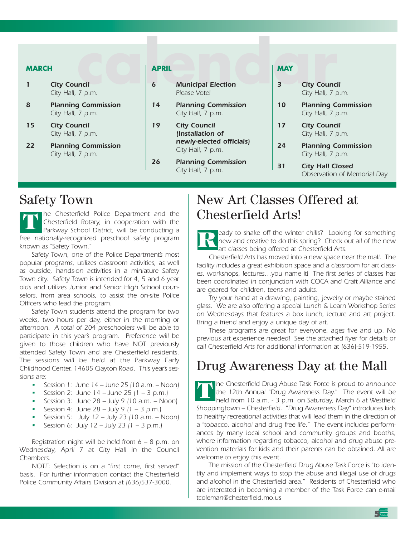#### **MARCH**

- *1 City Council City Hall, 7 p.m.*
- *8 Planning Commission City Hall, 7 p.m.*
- *15 City Council City Hall, 7 p.m.*
- *22 Planning Commission City Hall, 7 p.m.*

#### **APRIL**

- **calendar** *6 Municipal Election Please Vote!*
	- *14 Planning Commission City Hall, 7 p.m.*
	- *19 City Council (Installation of newly-elected officials) City Hall, 7 p.m.*
	- *26 Planning Commission City Hall, 7 p.m.*

#### **MAY**

- *3 City Council City Hall, 7 p.m.*
- *10 Planning Commission City Hall, 7 p.m.*
- *17 City Council City Hall, 7 p.m.*
- *24 Planning Commission City Hall, 7 p.m.*
- *31 City Hall Closed Observation of Memorial Day*

### Safety Town

*he Chesterfield Police Department and the Chesterfield Rotary, in cooperation with the Parkway School District, will be conducting a free nationally-recognized preschool safety program known as "Safety Town."* **T**

*Safety Town, one of the Police Department's most popular programs, utilizes classroom activities, as well as outside, hands-on activities in a miniature Safety Town city. Safety Town is intended for 4, 5 and 6 year olds and utilizes Junior and Senior High School counselors, from area schools, to assist the on-site Police Officers who lead the program.* 

*Safety Town students attend the program for two weeks, two hours per day, either in the morning or afternoon. A total of 204 preschoolers will be able to participate in this year's program. Preference will be given to those children who have NOT previously attended Safety Town and are Chesterfield residents. The sessions will be held at the Parkway Early Childhood Center, 14605 Clayton Road. This year's sessions are:*

- *• Session 1: June 14 June 25 (10 a.m. Noon)*
- *• Session 2: June 14 June 25 (1 3 p.m.)*
- *• Session 3: June 28 July 9 (10 a.m. Noon)*
- *• Session 4: June 28 July 9 (1 3 p.m.)*
- *• Session 5: July 12 July 23 (10 a.m. Noon)*
- *• Session 6: July 12 July 23 (1 3 p.m.)*

*Registration night will be held from 6 – 8 p.m. on Wednesday, April 7 at City Hall in the Council Chambers.*

*NOTE: Selection is on a "first come, first served" basis. For further information contact the Chesterfield Police Community Affairs Division at (636)537-3000.*

### New Art Classes Offered at Chesterfield Arts!

*eady to shake off the winter chills? Looking for something new and creative to do this spring? Check out all of the new art classes being offered at Chesterfield Arts.* **R**

*Chesterfield Arts has moved into a new space near the mall. The facility includes a great exhibition space and a classroom for art classes, workshops, lectures…you name it! The first series of classes has been coordinated in conjunction with COCA and Craft Alliance and are geared for children, teens and adults.*

*Try your hand at a drawing, painting, jewelry or maybe stained glass. We are also offering a special Lunch & Learn Workshop Series on Wednesdays that features a box lunch, lecture and art project. Bring a friend and enjoy a unique day of art.*

*These programs are great for everyone, ages five and up. No previous art experience needed! See the attached flyer for details or call Chesterfield Arts for additional information at (636)-519-1955.*

### Drug Awareness Day at the Mall

*he Chesterfield Drug Abuse Task Force is proud to announce the 12th Annual "Drug Awareness Day." The event will be held from 10 a.m. - 3 p.m. on Saturday, March 6 at Westfield Shoppingtown – Chesterfield. "Drug Awareness Day" introduces kids to healthy recreational activities that will lead them in the direction of a "tobacco, alcohol and drug free life." The event includes performances by many local school and community groups and booths, where information regarding tobacco, alcohol and drug abuse prevention materials for kids and their parents can be obtained. All are welcome to enjoy this event.* **T**

*The mission of the Chesterfield Drug Abuse Task Force is "to identify and implement ways to stop the abuse and illegal use of drugs and alcohol in the Chesterfield area." Residents of Chesterfield who are interested in becoming a member of the Task Force can e-mail tcoleman@chesterfield.mo.us*

**5**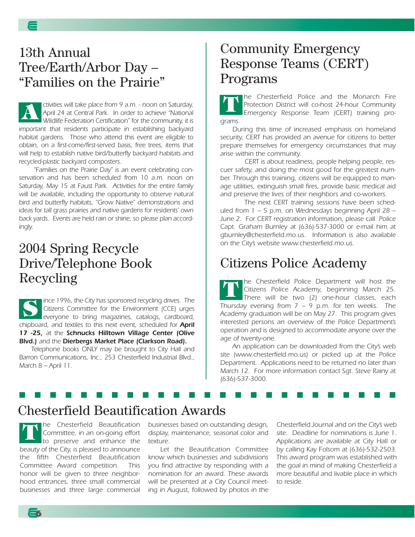### 13th Annual Tree/Earth/Arbor Day – "Families on the Prairie"

*ctivities will take place from 9 a.m. - noon on Saturday, April 24 at Central Park. In order to achieve "National Wildlife Federation Certification" for the community, it is important that residents participate in establishing backyard habitat gardens. Those who attend this event are eligible to obtain, on a first-come/first-served basis, free trees, items that will help to establish native bird/butterfly backyard habitats and recycled-plastic backyard composters.* **A**

*"Families on the Prairie Day" is an event celebrating conservation and has been scheduled from 10 a.m. noon on Saturday, May 15 at Faust Park. Activities for the entire family will be available, including the opportunity to observe natural bird and butterfly habitats, "Grow Native" demonstrations and ideas for tall grass prairies and native gardens for residents' own back yards. Events are held rain or shine, so please plan accordingly.*

### 2004 Spring Recycle Drive/Telephone Book Recycling

*ince 1996, the City has sponsored recycling drives. The Citizens Committee for the Environment (CCE) urges everyone to bring magazines, catalogs, cardboard, chipboard, and textiles to this next event, scheduled for April 17 -25, at the Schnucks Hilltown Village Center (Olive Blvd.) and the Dierbergs Market Place (Clarkson Road).* **S**

*Telephone books ONLY may be brought to City Hall and Barron Communications, Inc., 253 Chesterfield Industrial Blvd., March 8 – April 11.* 

### Community Emergency Response Teams (CERT) Programs

*he Chesterfield Police and the Monarch Fire Protection District will co-host 24-hour Community Emergency Response Team (CERT) training programs.*  **T**

*During this time of increased emphasis on homeland security, CERT has provided an avenue for citizens to better prepare themselves for emergency circumstances that may arise within the community.*

*CERT is about readiness, people helping people, rescuer safety, and doing the most good for the greatest number. Through this training, citizens will be equipped to manage utilities, extinguish small fires, provide basic medical aid and preserve the lives of their neighbors and co-workers.* 

*The next CERT training sessions have been scheduled from 1 – 5 p.m. on Wednesdays beginning April 28 – June 2. For CERT registration information, please call Police Capt. Graham Burnley at (636)-537-3000 or e-mail him at gburnley@chesterfield.mo.us. Information is also available on the City's website www.chesterfield.mo.us.*

### Citizens Police Academy

*he Chesterfield Police Department will host the Citizens Police Academy, beginning March 25. There will be two (2) one-hour classes, each Thursday evening from 7 – 9 p.m. for ten weeks. The Academy graduation will be on May 27. This program gives interested persons an overview of the Police Department's operation and is designed to accommodate anyone over the age of twenty-one.*  **T**

*An application can be downloaded from the City's web site (www.chesterfield.mo.us) or picked up at the Police Department. Applications need to be returned no later than March 12. For more information contact Sgt. Steve Rainy at (636)-537-3000.*

### Chesterfield Beautification Awards

*he Chesterfield Beautification Committee, in an on-going effort to preserve and enhance the beauty of the City, is pleased to announce the fifth Chesterfield Beautification Committee Award competition. This honor will be given to three neighborhood entrances, three small commercial businesses and three large commercial* **T**

**6**

*businesses based on outstanding design, display, maintenance, seasonal color and texture.*

■ ■ ■ ■ ■ ■ ■ ■ ■ ■ ■ ■ ■ ■ ■ ■ ■ ■ ■ ■ ■ ■ ■ ■ ■

*Let the Beautification Committee know which businesses and subdivisions you find attractive by responding with a nomination for an award. These awards will be presented at a City Council meeting in August, followed by photos in the*

*Chesterfield Journal and on the City's web site. Deadline for nominations is June 1. Applications are available at City Hall or by calling Kay Folsom at (636)-532-2503. This award program was established with the goal in mind of making Chesterfield a more beautiful and livable place in which to reside.*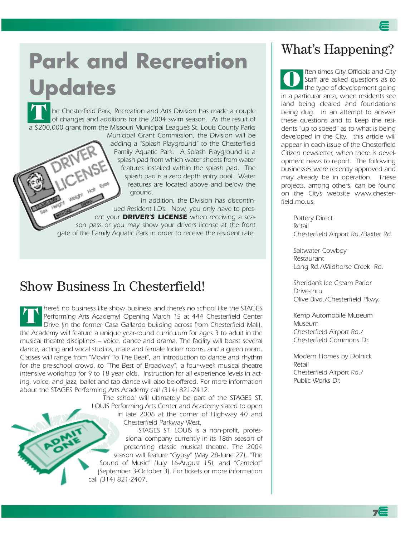# **Park and Recreation Updates**

*he Chesterfield Park, Recreation and Arts Division has made a couple of changes and additions for the 2004 swim season. As the result of a \$200,000 grant from the Missouri Municipal League's St. Louis County Parks* **T**

*Municipal Grant Commission, the Division will be adding a "Splash Playground" to the Chesterfield Family Aquatic Park. A Splash Playground is a splash pad from which water shoots from water features installed within the splash pad. The splash pad is a zero depth entry pool. Water features are located above and below the ground.* 

*In addition, the Division has discontinued Resident I.D's. Now, you only have to present your DRIVER'S LICENSE when receiving a season pass or you may show your drivers license at the front gate of the Family Aquatic Park in order to receive the resident rate.*

### Show Business In Chesterfield!

*here's no business like show business and there's no school like the STAGES Performing Arts Academy! Opening March 15 at 444 Chesterfield Center Drive (in the former Casa Gallardo building across from Chesterfield Mall), the Academy will feature a unique year-round curriculum for ages 3 to adult in the musical theatre disciplines – voice, dance and drama. The facility will boast several dance, acting and vocal studios, male and female locker rooms, and a green room. Classes will range from "Movin' To The Beat", an introduction to dance and rhythm for the pre-school crowd, to "The Best of Broadway", a four-week musical theatre intensive workshop for 9 to 18 year olds. Instruction for all experience levels in acting, voice, and jazz, ballet and tap dance will also be offered. For more information about the STAGES Performing Arts Academy call (314) 821-2412.* **T**

> *The school will ultimately be part of the STAGES ST. LOUIS Performing Arts Center and Academy slated to open in late 2006 at the corner of Highway 40 and Chesterfield Parkway West.*

> *STAGES ST. LOUIS is a non-profit, professional company currently in its 18th season of presenting classic musical theatre. The 2004 season will feature "Gypsy" (May 28-June 27), "The Sound of Music" (July 16-August 15), and "Camelot" (September 3-October 3). For tickets or more information call (314) 821-2407.*

### What's Happening?

*ften times City Officials and City Staff are asked questions as to the type of development going in a particular area, when residents see land being cleared and foundations being dug. In an attempt to answer these questions and to keep the residents "up to speed" as to what is being developed in the City, this article will appear in each issue of the Chesterfield Citizen newsletter, when there is development news to report. The following businesses were recently approved and may already be in operation. These projects, among others, can be found on the City's website www.chesterfield.mo.us.* **O**

> *Pottery Direct Retail Chesterfield Airport Rd./Baxter Rd.*

*Saltwater Cowboy Restaurant Long Rd./Wildhorse Creek Rd.*

*Sheridan's Ice Cream Parlor Drive-thru Olive Blvd./Chesterfield Pkwy.* 

*Kemp Automobile Museum Museum Chesterfield Airport Rd./ Chesterfield Commons Dr.*

*Modern Homes by Dolnick Retail Chesterfield Airport Rd./ Public Works Dr.*

**7**